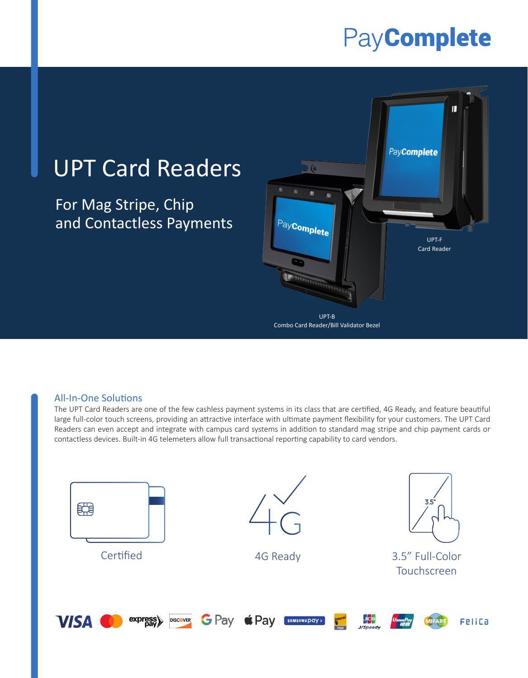## PayComplete

## UPT Card Readers

For Mag Stripe, Chip and Contactless Payments



Combo Card Reader/Bill Validator Bezel

## All-In-One Solutions

The UPT Card Readers are one of the few cashless payment systems in its class that are certified, 4G Ready, and feature beautiful large full-color touch screens, providing an attractive interface with ultimate payment flexibility for your customers. The UPT Card Readers can even accept and integrate with campus card systems in addition to standard mag stripe and chip payment cards or contactless devices. Built-in 4G telemeters allow full transactional reporting capability to card vendors.